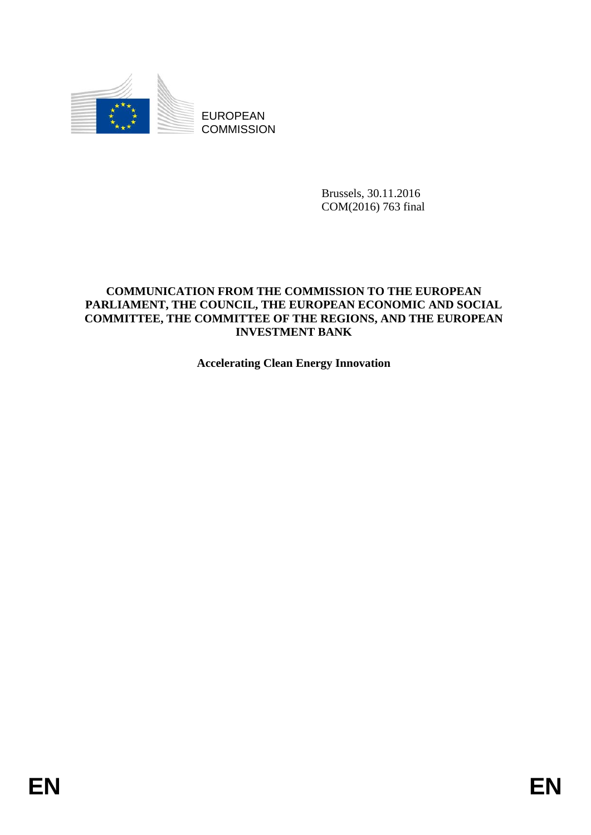

EUROPEAN **COMMISSION** 

> Brussels, 30.11.2016 COM(2016) 763 final

# **COMMUNICATION FROM THE COMMISSION TO THE EUROPEAN PARLIAMENT, THE COUNCIL, THE EUROPEAN ECONOMIC AND SOCIAL COMMITTEE, THE COMMITTEE OF THE REGIONS, AND THE EUROPEAN INVESTMENT BANK**

**Accelerating Clean Energy Innovation**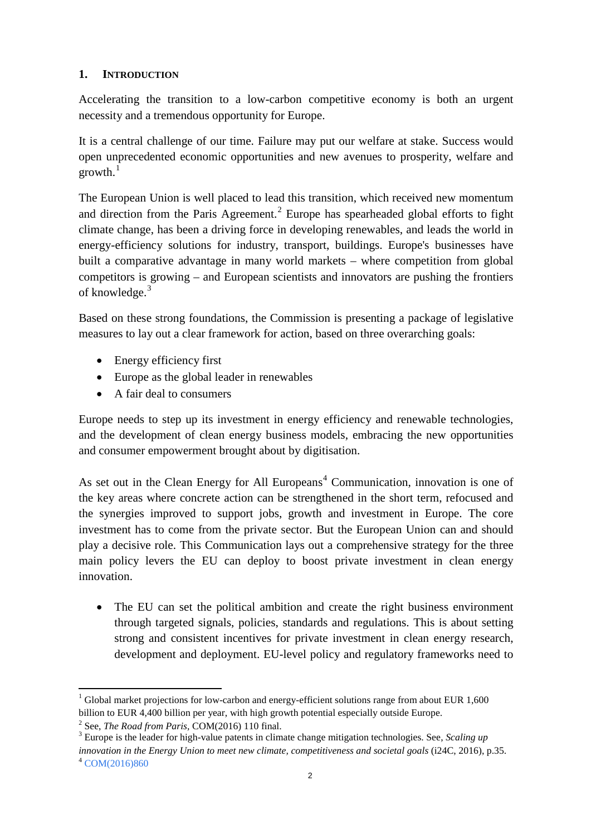# **1. INTRODUCTION**

Accelerating the transition to a low-carbon competitive economy is both an urgent necessity and a tremendous opportunity for Europe.

It is a central challenge of our time. Failure may put our welfare at stake. Success would open unprecedented economic opportunities and new avenues to prosperity, welfare and  $\text{growth.}^1$  $\text{growth.}^1$ 

The European Union is well placed to lead this transition, which received new momentum and direction from the Paris Agreement.<sup>[2](#page-1-1)</sup> Europe has spearheaded global efforts to fight climate change, has been a driving force in developing renewables, and leads the world in energy-efficiency solutions for industry, transport, buildings. Europe's businesses have built a comparative advantage in many world markets – where competition from global competitors is growing – and European scientists and innovators are pushing the frontiers of knowledge.<sup>[3](#page-1-2)</sup>

Based on these strong foundations, the Commission is presenting a package of legislative measures to lay out a clear framework for action, based on three overarching goals:

- Energy efficiency first
- Europe as the global leader in renewables
- A fair deal to consumers

Europe needs to step up its investment in energy efficiency and renewable technologies, and the development of clean energy business models, embracing the new opportunities and consumer empowerment brought about by digitisation.

As set out in the Clean Energy for All Europeans<sup>[4](#page-1-3)</sup> Communication, innovation is one of the key areas where concrete action can be strengthened in the short term, refocused and the synergies improved to support jobs, growth and investment in Europe. The core investment has to come from the private sector. But the European Union can and should play a decisive role. This Communication lays out a comprehensive strategy for the three main policy levers the EU can deploy to boost private investment in clean energy innovation.

• The EU can set the political ambition and create the right business environment through targeted signals, policies, standards and regulations. This is about setting strong and consistent incentives for private investment in clean energy research, development and deployment. EU-level policy and regulatory frameworks need to

<span id="page-1-0"></span> $1$  Global market projections for low-carbon and energy-efficient solutions range from about EUR 1,600 [billion](http://www.bmub.bund.de/fileadmin/Daten_BMU/Pools/Broschueren/greentech_atlas_4_0_en_bf.pdf) to EU[R 4,400 billion](https://www.gov.uk/government/uploads/system/uploads/attachment_data/file/224068/bis-13-p143-low-carbon-and-environmental-goods-and-services-report-2011-12.pdf) per year, with high growth potential especially outside Europe.

<span id="page-1-3"></span><span id="page-1-2"></span><span id="page-1-1"></span><sup>&</sup>lt;sup>2</sup> See, *The Road from Paris*, COM(2016) 110 final.<br><sup>3</sup> Europe is the leader for high-value patents in climate change mitigation technologies. See, *Scaling up [innovation in the Energy Union to meet new climate, competitiveness and societal goals](https://europeanclimate.org/scaling-up-innovation-in-the-energy-union-to-meet-new-climate-competitiveness-societal-goals/)* (i24C, 2016), p.35. <sup>4</sup> [COM\(2016\)860](http://www.cc.cec/sg/vista/home?documentDetails&DocRef=COM/2016/860&ComCat=SPINE)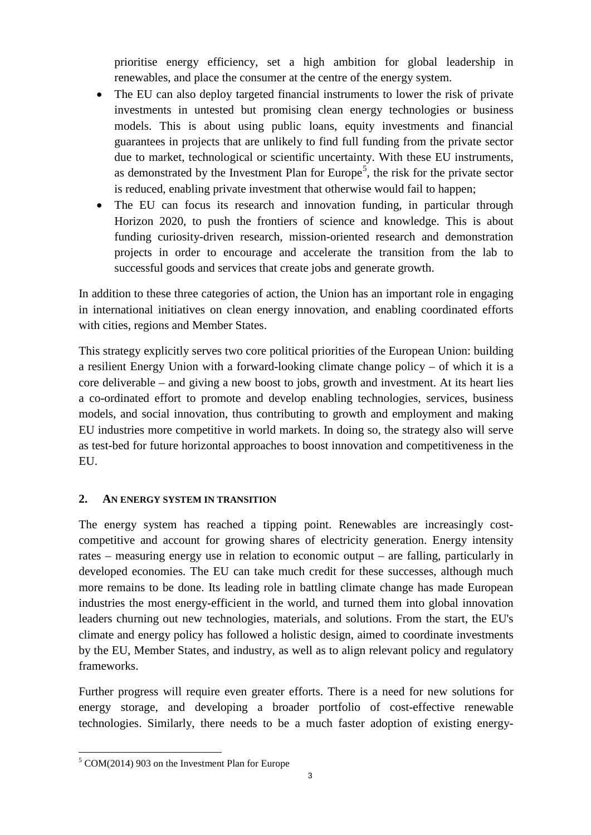prioritise energy efficiency, set a high ambition for global leadership in renewables, and place the consumer at the centre of the energy system.

- The EU can also deploy targeted financial instruments to lower the risk of private investments in untested but promising clean energy technologies or business models. This is about using public loans, equity investments and financial guarantees in projects that are unlikely to find full funding from the private sector due to market, technological or scientific uncertainty. With these EU instruments, as demonstrated by the Investment Plan for Europe<sup>[5](#page-2-0)</sup>, the risk for the private sector is reduced, enabling private investment that otherwise would fail to happen;
- The EU can focus its research and innovation funding, in particular through Horizon 2020, to push the frontiers of science and knowledge. This is about funding curiosity-driven research, mission-oriented research and demonstration projects in order to encourage and accelerate the transition from the lab to successful goods and services that create jobs and generate growth.

In addition to these three categories of action, the Union has an important role in engaging in international initiatives on clean energy innovation, and enabling coordinated efforts with cities, regions and Member States.

This strategy explicitly serves two core political priorities of the European Union: building a resilient Energy Union with a forward-looking climate change policy – of which it is a core deliverable – and giving a new boost to jobs, growth and investment. At its heart lies a co-ordinated effort to promote and develop enabling technologies, services, business models, and social innovation, thus contributing to growth and employment and making EU industries more competitive in world markets. In doing so, the strategy also will serve as test-bed for future horizontal approaches to boost innovation and competitiveness in the EU.

## **2. AN ENERGY SYSTEM IN TRANSITION**

The energy system has reached a tipping point. Renewables are increasingly costcompetitive and account for growing shares of electricity generation. Energy intensity rates – measuring energy use in relation to economic output – are falling, particularly in developed economies. The EU can take much credit for these successes, although much more remains to be done. Its leading role in battling climate change has made European industries the most energy-efficient in the world, and turned them into global innovation leaders churning out new technologies, materials, and solutions. From the start, the EU's climate and energy policy has followed a holistic design, aimed to coordinate investments by the EU, Member States, and industry, as well as to align relevant policy and regulatory frameworks.

Further progress will require even greater efforts. There is a need for new solutions for energy storage, and developing a broader portfolio of cost-effective renewable technologies. Similarly, there needs to be a much faster adoption of existing energy-

<span id="page-2-0"></span> $\overline{\phantom{a}}$ <sup>5</sup> COM(2014) 903 on the Investment Plan for Europe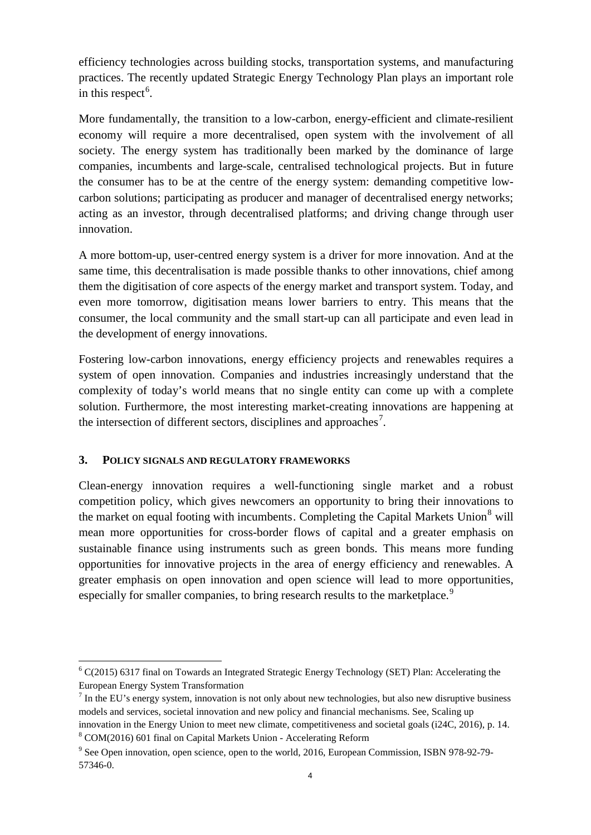efficiency technologies across building stocks, transportation systems, and manufacturing practices. The recently updated Strategic Energy Technology Plan plays an important role in this respect<sup>[6](#page-3-0)</sup>.

More fundamentally, the transition to a low-carbon, energy-efficient and climate-resilient economy will require a more decentralised, open system with the involvement of all society. The energy system has traditionally been marked by the dominance of large companies, incumbents and large-scale, centralised technological projects. But in future the consumer has to be at the centre of the energy system: demanding competitive lowcarbon solutions; participating as producer and manager of decentralised energy networks; acting as an investor, through decentralised platforms; and driving change through user innovation.

A more bottom-up, user-centred energy system is a driver for more innovation. And at the same time, this decentralisation is made possible thanks to other innovations, chief among them the digitisation of core aspects of the energy market and transport system. Today, and even more tomorrow, digitisation means lower barriers to entry. This means that the consumer, the local community and the small start-up can all participate and even lead in the development of energy innovations.

Fostering low-carbon innovations, energy efficiency projects and renewables requires a system of open innovation. Companies and industries increasingly understand that the complexity of today's world means that no single entity can come up with a complete solution. Furthermore, the most interesting market-creating innovations are happening at the intersection of different sectors, disciplines and approaches<sup>[7](#page-3-1)</sup>.

## **3. POLICY SIGNALS AND REGULATORY FRAMEWORKS**

Clean-energy innovation requires a well-functioning single market and a robust competition policy, which gives newcomers an opportunity to bring their innovations to the market on equal footing with incumbents. Completing the Capital Markets Union<sup>[8](#page-3-2)</sup> will mean more opportunities for cross-border flows of capital and a greater emphasis on sustainable finance using instruments such as green bonds. This means more funding opportunities for innovative projects in the area of energy efficiency and renewables. A greater emphasis on open innovation and open science will lead to more opportunities, especially for smaller companies, to bring research results to the marketplace.<sup>[9](#page-3-3)</sup>

<span id="page-3-0"></span><sup>6</sup> C(2015) 6317 final on Towards an Integrated Strategic Energy Technology (SET) Plan: Accelerating the European Energy System Transformation

<span id="page-3-1"></span> $<sup>7</sup>$  In the EU's energy system, innovation is not only about new technologies, but also new disruptive business</sup> models and services, societal innovation and new policy and financial mechanisms. See, Scaling up innovation in the Energy Union to meet new climate, competitiveness and societal goals (i24C, 2016), p. 14.

<span id="page-3-2"></span><sup>8</sup> COM(2016) 601 final on Capital Markets Union - Accelerating Reform

<span id="page-3-3"></span><sup>9</sup> See Open innovation, open science, open to the world, 2016, European Commission, ISBN 978-92-79- 57346-0.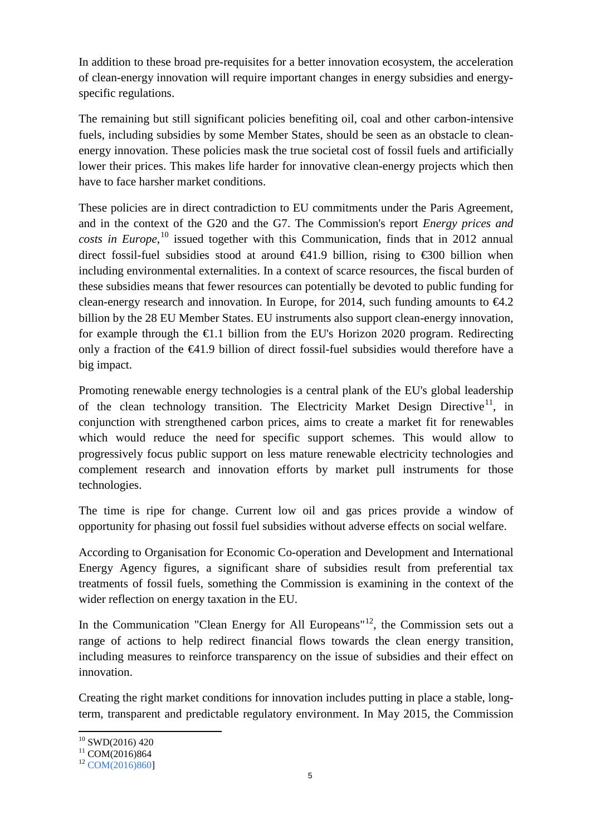In addition to these broad pre-requisites for a better innovation ecosystem, the acceleration of clean-energy innovation will require important changes in energy subsidies and energyspecific regulations.

The remaining but still significant policies benefiting oil, coal and other carbon-intensive fuels, including subsidies by some Member States, should be seen as an obstacle to cleanenergy innovation. These policies mask the true societal cost of fossil fuels and artificially lower their prices. This makes life harder for innovative clean-energy projects which then have to face harsher market conditions.

These policies are in direct contradiction to EU commitments under the Paris Agreement, and in the context of the G20 and the G7. The Commission's report *Energy prices and costs in Europe*, [10](#page-4-0) issued together with this Communication, finds that in 2012 annual direct fossil-fuel subsidies stood at around  $\bigoplus$  41.9 billion, rising to  $\bigoplus$  600 billion when including environmental externalities. In a context of scarce resources, the fiscal burden of these subsidies means that fewer resources can potentially be devoted to public funding for clean-energy research and innovation. In Europe, for 2014, such funding amounts to  $\epsilon 4.2$ billion by the 28 EU Member States. EU instruments also support clean-energy innovation, for example through the  $\epsilon$ 1.1 billion from the EU's Horizon 2020 program. Redirecting only a fraction of the €41.9 billion of direct fossil-fuel subsidies would therefore have a big impact.

Promoting renewable energy technologies is a central plank of the EU's global leadership of the clean technology transition. The Electricity Market Design Directive<sup>11</sup>, in conjunction with strengthened carbon prices, aims to create a market fit for renewables which would reduce the need for specific support schemes. This would allow to progressively focus public support on less mature renewable electricity technologies and complement research and innovation efforts by market pull instruments for those technologies.

The time is ripe for change. Current low oil and gas prices provide a window of opportunity for phasing out fossil fuel subsidies without adverse effects on social welfare.

According to Organisation for Economic Co-operation and Development and International Energy Agency figures, a significant share of subsidies result from preferential tax treatments of fossil fuels, something the Commission is examining in the context of the wider reflection on energy taxation in the EU.

In the Communication "Clean Energy for All Europeans"<sup>[12](#page-4-2)</sup>, the Commission sets out a range of actions to help redirect financial flows towards the clean energy transition, including measures to reinforce transparency on the issue of subsidies and their effect on innovation.

Creating the right market conditions for innovation includes putting in place a stable, longterm, transparent and predictable regulatory environment. In May 2015, the Commission

<span id="page-4-2"></span><span id="page-4-1"></span>

<span id="page-4-0"></span><sup>&</sup>lt;sup>10</sup> SWD(2016) 420<br><sup>11</sup> COM(2016)864<br><sup>12</sup> [COM\(2016\)860\]](http://www.cc.cec/sg/vista/home?documentDetails&DocRef=COM/2016/860&ComCat=SPINE)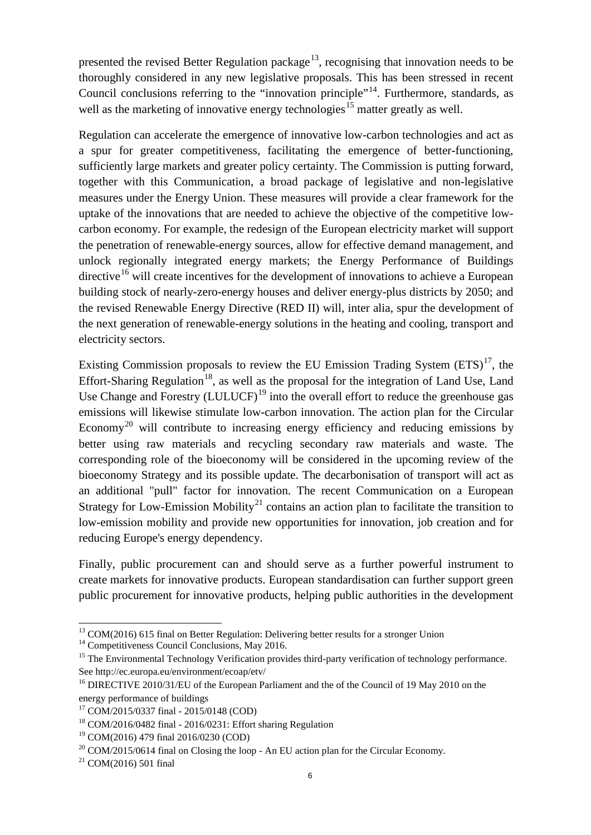presented the revised Better Regulation package<sup>[13](#page-5-0)</sup>, recognising that innovation needs to be thoroughly considered in any new legislative proposals. This has been stressed in recent Council conclusions referring to the "innovation principle"<sup>14</sup>. Furthermore, standards, as well as the marketing of innovative energy technologies<sup>[15](#page-5-2)</sup> matter greatly as well.

Regulation can accelerate the emergence of innovative low-carbon technologies and act as a spur for greater competitiveness, facilitating the emergence of better-functioning, sufficiently large markets and greater policy certainty. The Commission is putting forward, together with this Communication, a broad package of legislative and non-legislative measures under the Energy Union. These measures will provide a clear framework for the uptake of the innovations that are needed to achieve the objective of the competitive lowcarbon economy. For example, the redesign of the European electricity market will support the penetration of renewable-energy sources, allow for effective demand management, and unlock regionally integrated energy markets; the Energy Performance of Buildings directive<sup>[16](#page-5-3)</sup> will create incentives for the development of innovations to achieve a European building stock of nearly-zero-energy houses and deliver energy-plus districts by 2050; and the revised Renewable Energy Directive (RED II) will, inter alia, spur the development of the next generation of renewable-energy solutions in the heating and cooling, transport and electricity sectors.

Existing Commission proposals to review the EU Emission Trading System  $(ETS)^{17}$ , the Effort-Sharing Regulation<sup>[18](#page-5-5)</sup>, as well as the proposal for the integration of Land Use, Land Use Change and Forestry  $(LULUCF)^{19}$  $(LULUCF)^{19}$  $(LULUCF)^{19}$  into the overall effort to reduce the greenhouse gas emissions will likewise stimulate low-carbon innovation. The action plan for the Circular Economy<sup>[20](#page-5-7)</sup> will contribute to increasing energy efficiency and reducing emissions by better using raw materials and recycling secondary raw materials and waste. The corresponding role of the bioeconomy will be considered in the upcoming review of the bioeconomy Strategy and its possible update. The decarbonisation of transport will act as an additional "pull" factor for innovation. The recent Communication on a European Strategy for Low-Emission Mobility<sup>[21](#page-5-8)</sup> contains an action plan to facilitate the transition to low-emission mobility and provide new opportunities for innovation, job creation and for reducing Europe's energy dependency.

Finally, public procurement can and should serve as a further powerful instrument to create markets for innovative products. European standardisation can further support green public procurement for innovative products, helping public authorities in the development

<span id="page-5-0"></span> $13 \text{ COM}(2016)$  615 final on Better Regulation: Delivering better results for a stronger Union  $14 \text{ Competitiveness}$  Council Conclusions, May 2016.

<span id="page-5-1"></span>

<span id="page-5-2"></span><sup>&</sup>lt;sup>15</sup> The Environmental Technology Verification provides third-party verification of technology performance. See http://ec.europa.eu/environment/ecoap/etv/

<span id="page-5-3"></span><sup>&</sup>lt;sup>16</sup> DIRECTIVE 2010/31/EU of the European Parliament and the of the Council of 19 May 2010 on the energy performance of buildings

<span id="page-5-4"></span><sup>17</sup> COM/2015/0337 final - 2015/0148 (COD)

<span id="page-5-5"></span><sup>18</sup> COM/2016/0482 final - 2016/0231: Effort sharing Regulation

<span id="page-5-6"></span><sup>19</sup> COM(2016) 479 final 2016/0230 (COD)

<span id="page-5-7"></span> $20$  COM/2015/0614 final on Closing the loop - An EU action plan for the Circular Economy.

<span id="page-5-8"></span> $21$  [COM\(2016\) 501 final](http://ec.europa.eu/transparency/regdoc/rep/1/2016/EN/1-2016-501-EN-F1-1.PDF)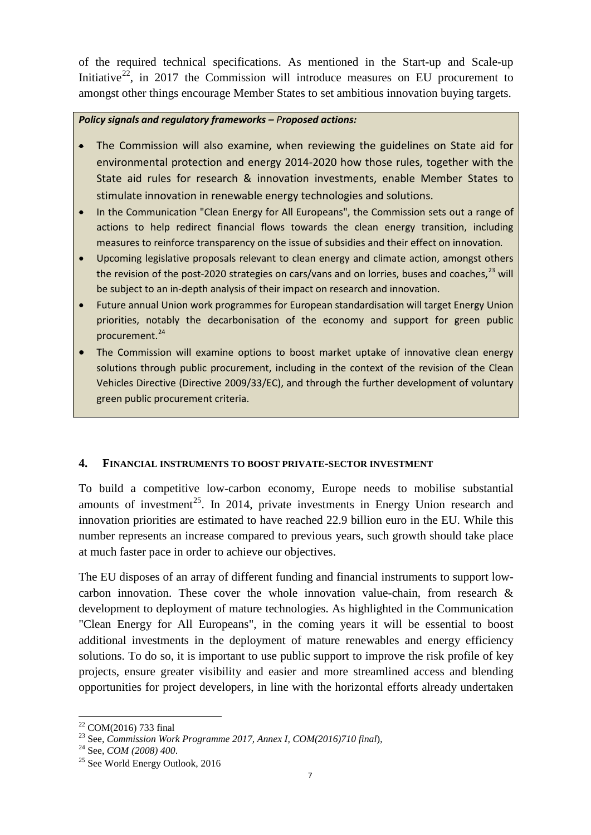of the required technical specifications. As mentioned in the Start-up and Scale-up Initiative<sup>[22](#page-6-0)</sup>, in 2017 the Commission will introduce measures on EU procurement to amongst other things encourage Member States to set ambitious innovation buying targets.

### *Policy signals and regulatory frameworks – Proposed actions:*

- The Commission will also examine, when reviewing the guidelines on State aid for environmental protection and energy 2014-2020 how those rules, together with the State aid rules for research & innovation investments, enable Member States to stimulate innovation in renewable energy technologies and solutions.
- In the Communication "Clean Energy for All Europeans", the Commission sets out a range of actions to help redirect financial flows towards the clean energy transition, including measures to reinforce transparency on the issue of subsidies and their effect on innovation*.*
- Upcoming legislative proposals relevant to clean energy and climate action, amongst others the revision of the post-2020 strategies on cars/vans and on lorries, buses and coaches,  $^{23}$  $^{23}$  $^{23}$  will be subject to an in-depth analysis of their impact on research and innovation.
- Future annual Union work programmes for European standardisation will target Energy Union priorities, notably the decarbonisation of the economy and support for green public procurement.<sup>[24](#page-6-2)</sup>
- The Commission will examine options to boost market uptake of innovative clean energy solutions through public procurement, including in the context of the revision of the Clean Vehicles Directive (Directive 2009/33/EC), and through the further development of voluntary green public procurement criteria.

# **4. FINANCIAL INSTRUMENTS TO BOOST PRIVATE-SECTOR INVESTMENT**

To build a competitive low-carbon economy, Europe needs to mobilise substantial amounts of investment<sup>[25](#page-6-3)</sup>. In 2014, private investments in Energy Union research and innovation priorities are estimated to have reached 22.9 billion euro in the EU. While this number represents an increase compared to previous years, such growth should take place at much faster pace in order to achieve our objectives.

The EU disposes of an array of different funding and financial instruments to support lowcarbon innovation. These cover the whole innovation value-chain, from research & development to deployment of mature technologies. As highlighted in the Communication "Clean Energy for All Europeans", in the coming years it will be essential to boost additional investments in the deployment of mature renewables and energy efficiency solutions. To do so, it is important to use public support to improve the risk profile of key projects, ensure greater visibility and easier and more streamlined access and blending opportunities for project developers, in line with the horizontal efforts already undertaken

<span id="page-6-1"></span><span id="page-6-0"></span><sup>22</sup> COM(2016) 733 final <sup>23</sup> See, *Commission Work Programme 2017, Annex I, COM(2016)710 final*), <sup>24</sup> See, *COM (2008) 400*.

<span id="page-6-2"></span>

<span id="page-6-3"></span> $25$  See World Energy Outlook, 2016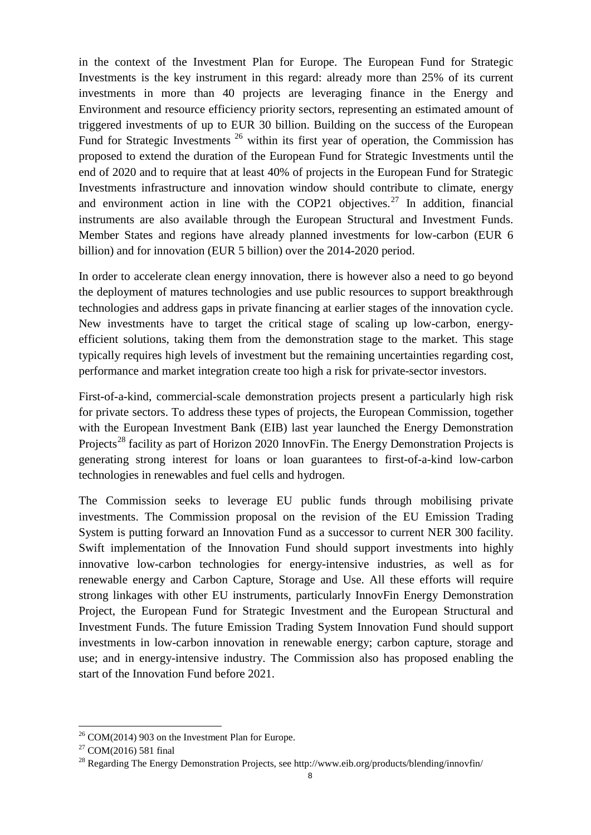in the context of the Investment Plan for Europe. The European Fund for Strategic Investments is the key instrument in this regard: already more than 25% of its current investments in more than 40 projects are leveraging finance in the Energy and Environment and resource efficiency priority sectors, representing an estimated amount of triggered investments of up to EUR 30 billion. Building on the success of the European Fund for Strategic Investments<sup>[26](#page-7-0)</sup> within its first year of operation, the Commission has proposed to extend the duration of the European Fund for Strategic Investments until the end of 2020 and to require that at least 40% of projects in the European Fund for Strategic Investments infrastructure and innovation window should contribute to climate, energy and environment action in line with the COP21 objectives.<sup>[27](#page-7-1)</sup> In addition, financial instruments are also available through the European Structural and Investment Funds. Member States and regions have already planned investments for low-carbon (EUR 6 billion) and for innovation (EUR 5 billion) over the 2014-2020 period.

In order to accelerate clean energy innovation, there is however also a need to go beyond the deployment of matures technologies and use public resources to support breakthrough technologies and address gaps in private financing at earlier stages of the innovation cycle. New investments have to target the critical stage of scaling up low-carbon, energyefficient solutions, taking them from the demonstration stage to the market. This stage typically requires high levels of investment but the remaining uncertainties regarding cost, performance and market integration create too high a risk for private-sector investors.

First-of-a-kind, commercial-scale demonstration projects present a particularly high risk for private sectors. To address these types of projects, the European Commission, together with the European Investment Bank (EIB) last year launched the Energy Demonstration Projects<sup>[28](#page-7-2)</sup> facility as part of Horizon 2020 InnovFin. The Energy Demonstration Projects is generating strong interest for loans or loan guarantees to first-of-a-kind low-carbon technologies in renewables and fuel cells and hydrogen.

The Commission seeks to leverage EU public funds through mobilising private investments. The Commission proposal on the revision of the EU Emission Trading System is putting forward an Innovation Fund as a successor to current NER 300 facility. Swift implementation of the Innovation Fund should support investments into highly innovative low-carbon technologies for energy-intensive industries, as well as for renewable energy and Carbon Capture, Storage and Use. All these efforts will require strong linkages with other EU instruments, particularly InnovFin Energy Demonstration Project, the European Fund for Strategic Investment and the European Structural and Investment Funds. The future Emission Trading System Innovation Fund should support investments in low-carbon innovation in renewable energy; carbon capture, storage and use; and in energy-intensive industry. The Commission also has proposed enabling the start of the Innovation Fund before 2021.

<span id="page-7-0"></span> $26$  COM(2014) 903 on the Investment Plan for Europe.

<span id="page-7-1"></span><sup>27</sup> [COM\(2016\) 581 final](http://eur-lex.europa.eu/legal-content/EN/TXT/PDF/?uri=CELEX:52016DC0581&from=EN)

<span id="page-7-2"></span> $^{28}$  Regarding The Energy Demonstration Projects, see<http://www.eib.org/products/blending/innovfin/>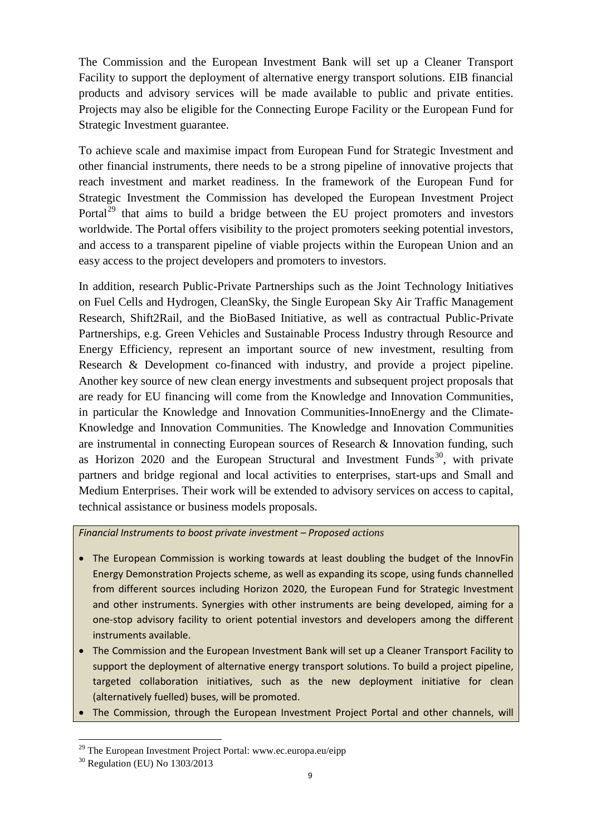The Commission and the European Investment Bank will set up a Cleaner Transport Facility to support the deployment of alternative energy transport solutions. EIB financial products and advisory services will be made available to public and private entities. Projects may also be eligible for the Connecting Europe Facility or the European Fund for Strategic Investment guarantee.

To achieve scale and maximise impact from European Fund for Strategic Investment and other financial instruments, there needs to be a strong pipeline of innovative projects that reach investment and market readiness. In the framework of the European Fund for Strategic Investment the Commission has developed the European Investment Project Portal<sup>[29](#page-8-0)</sup> that aims to build a bridge between the EU project promoters and investors worldwide. The Portal offers visibility to the project promoters seeking potential investors, and access to a transparent pipeline of viable projects within the European Union and an easy access to the project developers and promoters to investors.

In addition, research Public-Private Partnerships such as the Joint Technology Initiatives on Fuel Cells and Hydrogen, CleanSky, the Single European Sky Air Traffic Management Research, Shift2Rail, and the BioBased Initiative, as well as contractual Public-Private Partnerships, e.g. Green Vehicles and Sustainable Process Industry through Resource and Energy Efficiency, represent an important source of new investment, resulting from Research & Development co-financed with industry, and provide a project pipeline. Another key source of new clean energy investments and subsequent project proposals that are ready for EU financing will come from the Knowledge and Innovation Communities, in particular the Knowledge and Innovation Communities-InnoEnergy and the Climate-Knowledge and Innovation Communities. The Knowledge and Innovation Communities are instrumental in connecting European sources of Research & Innovation funding, such as Horizon  $2020$  and the European Structural and Investment Funds<sup>30</sup>, with private partners and bridge regional and local activities to enterprises, start-ups and Small and Medium Enterprises. Their work will be extended to advisory services on access to capital, technical assistance or business models proposals.

*Financial Instruments to boost private investment – Proposed actions*

- The European Commission is working towards at least doubling the budget of the InnovFin Energy Demonstration Projects scheme, as well as expanding its scope, using funds channelled from different sources including Horizon 2020, the European Fund for Strategic Investment and other instruments. Synergies with other instruments are being developed, aiming for a one-stop advisory facility to orient potential investors and developers among the different instruments available.
- The Commission and the European Investment Bank will set up a Cleaner Transport Facility to support the deployment of alternative energy transport solutions. To build a project pipeline, targeted collaboration initiatives, such as the new deployment initiative for clean (alternatively fuelled) buses, will be promoted.
- The Commission, through the European Investment Project Portal and other channels, will

<span id="page-8-0"></span> $\overline{\phantom{a}}$ <sup>29</sup> The European Investment Project Portal: [www.ec.europa.eu/eipp](http://www.ec.europa.eu/eipp)

<span id="page-8-1"></span><sup>30</sup> Regulation (EU) No 1303/2013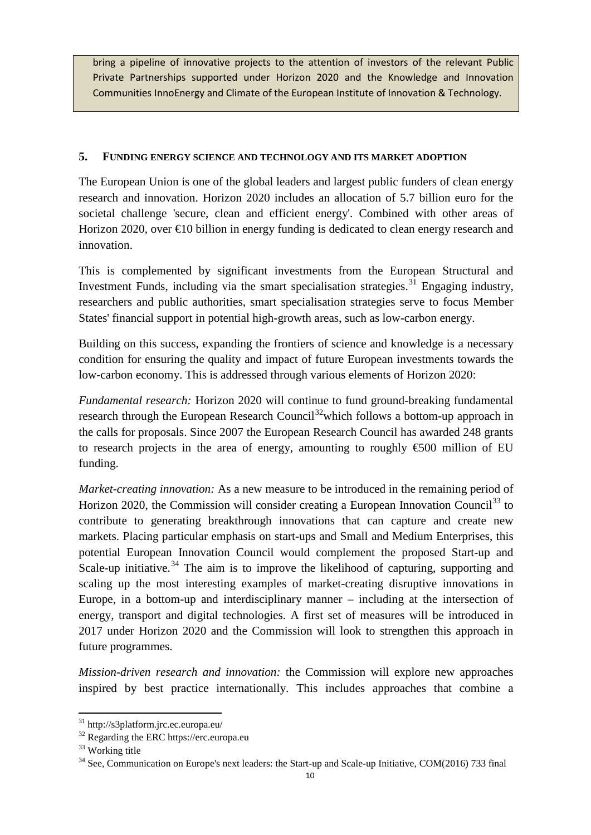bring a pipeline of innovative projects to the attention of investors of the relevant Public Private Partnerships supported under Horizon 2020 and the Knowledge and Innovation Communities InnoEnergy and Climate of the European Institute of Innovation & Technology.

## **5. FUNDING ENERGY SCIENCE AND TECHNOLOGY AND ITS MARKET ADOPTION**

The European Union is one of the global leaders and largest public funders of clean energy research and innovation. Horizon 2020 includes an allocation of 5.7 billion euro for the societal challenge 'secure, clean and efficient energy'. Combined with other areas of Horizon 2020, over  $\epsilon$ 10 billion in energy funding is dedicated to clean energy research and innovation.

This is complemented by significant investments from the European Structural and Investment Funds, including via the smart specialisation strategies.<sup>[31](#page-9-0)</sup> Engaging industry, researchers and public authorities, smart specialisation strategies serve to focus Member States' financial support in potential high-growth areas, such as low-carbon energy.

Building on this success, expanding the frontiers of science and knowledge is a necessary condition for ensuring the quality and impact of future European investments towards the low-carbon economy. This is addressed through various elements of Horizon 2020:

*Fundamental research:* Horizon 2020 will continue to fund ground-breaking fundamental research through the European Research Council<sup>32</sup>which follows a bottom-up approach in the calls for proposals. Since 2007 the European Research Council has awarded 248 grants to research projects in the area of energy, amounting to roughly  $\epsilon$ 500 million of EU funding.

*Market-creating innovation:* As a new measure to be introduced in the remaining period of Horizon 2020, the Commission will consider creating a European Innovation Council<sup>[33](#page-9-2)</sup> to contribute to generating breakthrough innovations that can capture and create new markets. Placing particular emphasis on start-ups and Small and Medium Enterprises, this potential European Innovation Council would complement the proposed Start-up and Scale-up initiative.<sup>[34](#page-9-3)</sup> The aim is to improve the likelihood of capturing, supporting and scaling up the most interesting examples of market-creating disruptive innovations in Europe, in a bottom-up and interdisciplinary manner – including at the intersection of energy, transport and digital technologies. A first set of measures will be introduced in 2017 under Horizon 2020 and the Commission will look to strengthen this approach in future programmes.

*Mission-driven research and innovation:* the Commission will explore new approaches inspired by best practice internationally. This includes approaches that combine a

<span id="page-9-0"></span><sup>&</sup>lt;sup>31</sup> <http://s3platform.jrc.ec.europa.eu/>

<span id="page-9-1"></span><sup>&</sup>lt;sup>32</sup> Regarding the ERC https://erc.europa.eu

<span id="page-9-2"></span><sup>33</sup> Working title

<span id="page-9-3"></span> $34$  See, Communication on Europe's next leaders: the Start-up and Scale-up Initiative, COM(2016) 733 final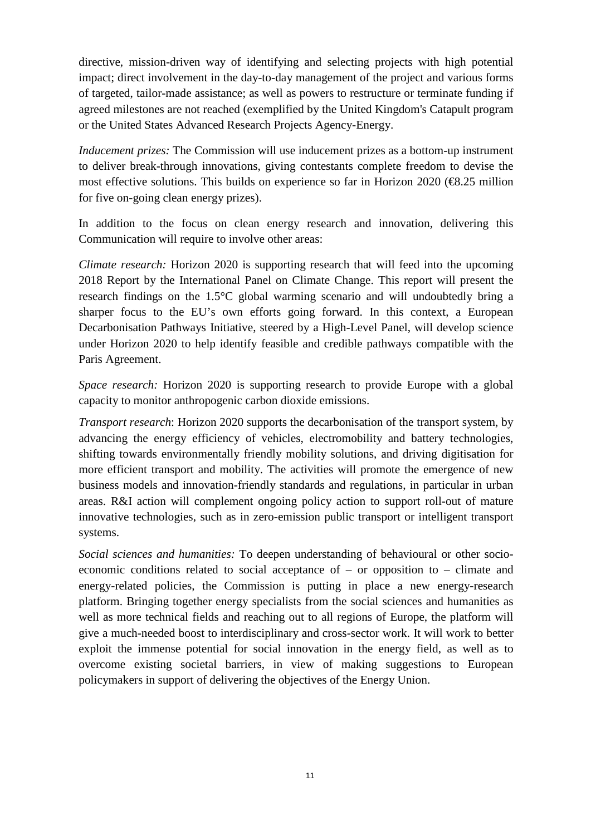directive, mission-driven way of identifying and selecting projects with high potential impact; direct involvement in the day-to-day management of the project and various forms of targeted, tailor-made assistance; as well as powers to restructure or terminate funding if agreed milestones are not reached (exemplified by the United Kingdom's Catapult program or the United States Advanced Research Projects Agency-Energy.

*Inducement prizes:* The Commission will use inducement prizes as a bottom-up instrument to deliver break-through innovations, giving contestants complete freedom to devise the most effective solutions. This builds on experience so far in Horizon 2020 ( $\bigoplus$ .25 million for five on-going clean energy prizes).

In addition to the focus on clean energy research and innovation, delivering this Communication will require to involve other areas:

*Climate research:* Horizon 2020 is supporting research that will feed into the upcoming 2018 Report by the International Panel on Climate Change. This report will present the research findings on the 1.5°C global warming scenario and will undoubtedly bring a sharper focus to the EU's own efforts going forward. In this context, a European Decarbonisation Pathways Initiative, steered by a High-Level Panel, will develop science under Horizon 2020 to help identify feasible and credible pathways compatible with the Paris Agreement.

*Space research:* Horizon 2020 is supporting research to provide Europe with a global capacity to monitor anthropogenic carbon dioxide emissions.

*Transport research*: Horizon 2020 supports the decarbonisation of the transport system, by advancing the energy efficiency of vehicles, electromobility and battery technologies, shifting towards environmentally friendly mobility solutions, and driving digitisation for more efficient transport and mobility. The activities will promote the emergence of new business models and innovation-friendly standards and regulations, in particular in urban areas. R&I action will complement ongoing policy action to support roll-out of mature innovative technologies, such as in zero-emission public transport or intelligent transport systems.

*Social sciences and humanities:* To deepen understanding of behavioural or other socioeconomic conditions related to social acceptance of – or opposition to – climate and energy-related policies, the Commission is putting in place a new energy-research platform. Bringing together energy specialists from the social sciences and humanities as well as more technical fields and reaching out to all regions of Europe, the platform will give a much-needed boost to interdisciplinary and cross-sector work. It will work to better exploit the immense potential for social innovation in the energy field, as well as to overcome existing societal barriers, in view of making suggestions to European policymakers in support of delivering the objectives of the Energy Union.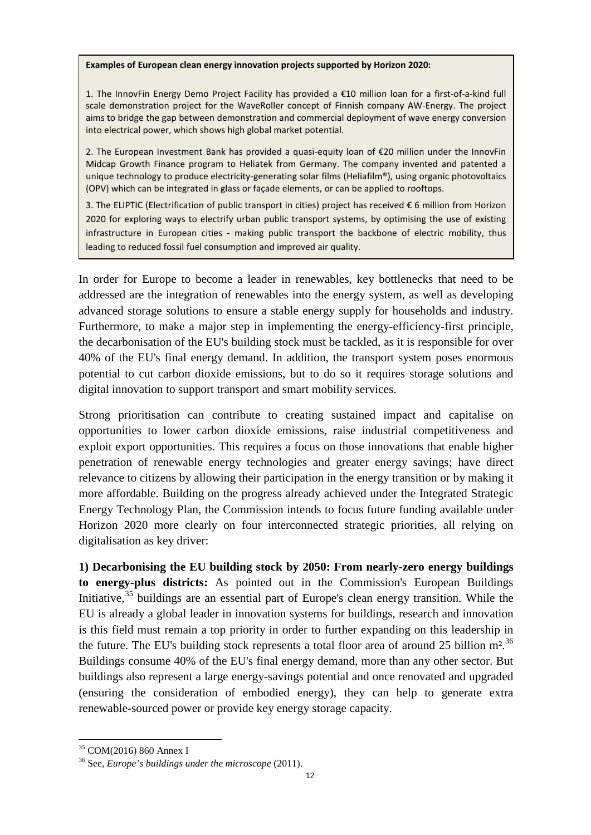#### **Examples of European clean energy innovation projects supported by Horizon 2020:**

1. The InnovFin Energy Demo Project Facility has provided a  $E10$  million loan for a first-of-a-kind full scale demonstration project for the WaveRoller concept of Finnish company AW-Energy. The project aims to bridge the gap between demonstration and commercial deployment of wave energy conversion into electrical power, which shows high global market potential.

2. The European Investment Bank has provided a quasi-equity loan of €20 million under the InnovFin Midcap Growth Finance program to Heliatek from Germany. The company invented and patented a unique technology to produce electricity-generating solar films (Heliafilm®), using organic photovoltaics (OPV) which can be integrated in glass or façade elements, or can be applied to rooftops.

3. The ELIPTIC (Electrification of public transport in cities) project has received € 6 million from Horizon 2020 for exploring ways to electrify urban public transport systems, by optimising the use of existing infrastructure in European cities - making public transport the backbone of electric mobility, thus leading to reduced fossil fuel consumption and improved air quality.

In order for Europe to become a leader in renewables, key bottlenecks that need to be addressed are the integration of renewables into the energy system, as well as developing advanced storage solutions to ensure a stable energy supply for households and industry. Furthermore, to make a major step in implementing the energy-efficiency-first principle, the decarbonisation of the EU's building stock must be tackled, as it is responsible for over 40% of the EU's final energy demand. In addition, the transport system poses enormous potential to cut carbon dioxide emissions, but to do so it requires storage solutions and digital innovation to support transport and smart mobility services.

Strong prioritisation can contribute to creating sustained impact and capitalise on opportunities to lower carbon dioxide emissions, raise industrial competitiveness and exploit export opportunities. This requires a focus on those innovations that enable higher penetration of renewable energy technologies and greater energy savings; have direct relevance to citizens by allowing their participation in the energy transition or by making it more affordable. Building on the progress already achieved under the Integrated Strategic Energy Technology Plan, the Commission intends to focus future funding available under Horizon 2020 more clearly on four interconnected strategic priorities, all relying on digitalisation as key driver:

**1) Decarbonising the EU building stock by 2050: From nearly-zero energy buildings to energy-plus districts:** As pointed out in the Commission's European Buildings Initiative,  $35$  buildings are an essential part of Europe's clean energy transition. While the EU is already a global leader in innovation systems for buildings, research and innovation is this field must remain a top priority in order to further expanding on this leadership in the future. The EU's building stock represents a total floor area of around 25 billion  $m^2$ .<sup>[36](#page-11-1)</sup> Buildings consume 40% of the EU's final energy demand, more than any other sector. But buildings also represent a large energy-savings potential and once renovated and upgraded (ensuring the consideration of embodied energy), they can help to generate extra renewable-sourced power or provide key energy storage capacity.

<span id="page-11-0"></span><sup>35</sup> COM(2016) 860 Annex I

<span id="page-11-1"></span><sup>36</sup> See, *[Europe's buildings under the microscope](http://bpie.eu/wp-content/uploads/2015/10/EU-B-under-the-mic_executive-summary.pdf)* (2011).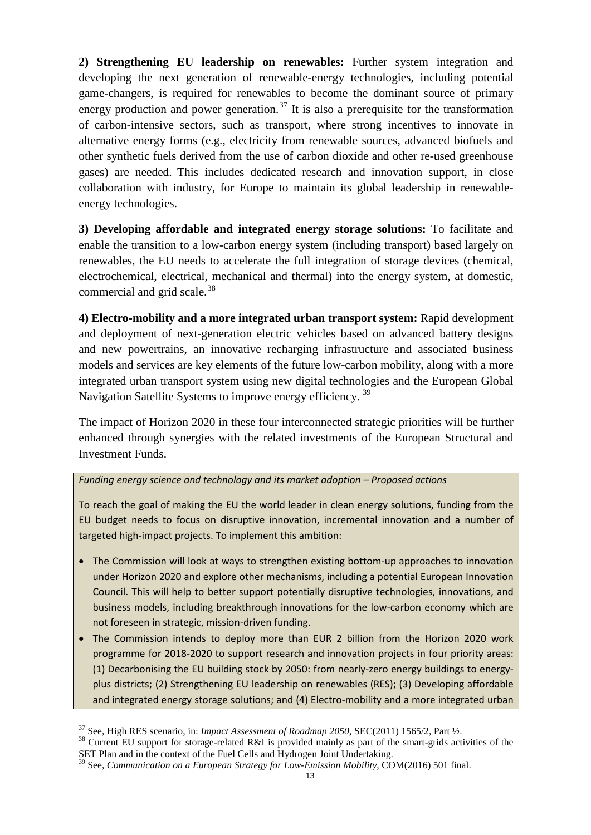**2) Strengthening EU leadership on renewables:** Further system integration and developing the next generation of renewable-energy technologies, including potential game-changers, is required for renewables to become the dominant source of primary energy production and power generation.<sup>[37](#page-12-0)</sup> It is also a prerequisite for the transformation of carbon-intensive sectors, such as transport, where strong incentives to innovate in alternative energy forms (e.g., electricity from renewable sources, advanced biofuels and other synthetic fuels derived from the use of carbon dioxide and other re-used greenhouse gases) are needed. This includes dedicated research and innovation support, in close collaboration with industry, for Europe to maintain its global leadership in renewableenergy technologies.

**3) Developing affordable and integrated energy storage solutions:** To facilitate and enable the transition to a low-carbon energy system (including transport) based largely on renewables, the EU needs to accelerate the full integration of storage devices (chemical, electrochemical, electrical, mechanical and thermal) into the energy system, at domestic, commercial and grid scale. $38$ 

**4) Electro-mobility and a more integrated urban transport system:** Rapid development and deployment of next-generation electric vehicles based on advanced battery designs and new powertrains, an innovative recharging infrastructure and associated business models and services are key elements of the future low-carbon mobility, along with a more integrated urban transport system using new digital technologies and the European Global Navigation Satellite Systems to improve energy efficiency.<sup>[39](#page-12-2)</sup>

The impact of Horizon 2020 in these four interconnected strategic priorities will be further enhanced through synergies with the related investments of the European Structural and Investment Funds.

#### *Funding energy science and technology and its market adoption – Proposed actions*

To reach the goal of making the EU the world leader in clean energy solutions, funding from the EU budget needs to focus on disruptive innovation, incremental innovation and a number of targeted high-impact projects. To implement this ambition:

- The Commission will look at ways to strengthen existing bottom-up approaches to innovation under Horizon 2020 and explore other mechanisms, including a potential European Innovation Council. This will help to better support potentially disruptive technologies, innovations, and business models, including breakthrough innovations for the low-carbon economy which are not foreseen in strategic, mission-driven funding.
- The Commission intends to deploy more than EUR 2 billion from the Horizon 2020 work programme for 2018-2020 to support research and innovation projects in four priority areas: (1) Decarbonising the EU building stock by 2050: from nearly-zero energy buildings to energyplus districts; (2) Strengthening EU leadership on renewables (RES); (3) Developing affordable and integrated energy storage solutions; and (4) Electro-mobility and a more integrated urban

<span id="page-12-1"></span><span id="page-12-0"></span><sup>&</sup>lt;sup>37</sup> See, High RES scenario, in: *Impact Assessment of Roadmap 2050*, SEC(2011) 1565/2, Part ½.<br><sup>38</sup> Current EU support for storage-related R&I is provided mainly as part of the smart-grids activities of the SET Plan and in the context of the Fuel Cells and Hydrogen Joint Undertaking.

<span id="page-12-2"></span><sup>39</sup> See, *Communication on a European Strategy for Low-Emission Mobility,* [COM\(2016\) 501 final.](http://ec.europa.eu/transparency/regdoc/rep/1/2016/EN/1-2016-501-EN-F1-1.PDF)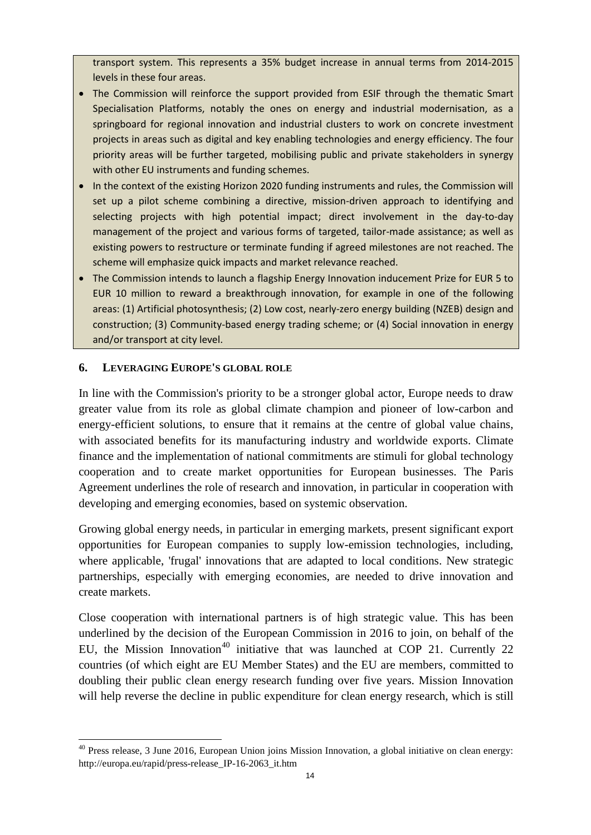transport system. This represents a 35% budget increase in annual terms from 2014-2015 levels in these four areas.

- The Commission will reinforce the support provided from ESIF through the thematic Smart Specialisation Platforms, notably the ones on energy and industrial modernisation, as a springboard for regional innovation and industrial clusters to work on concrete investment projects in areas such as digital and key enabling technologies and energy efficiency. The four priority areas will be further targeted, mobilising public and private stakeholders in synergy with other EU instruments and funding schemes.
- In the context of the existing Horizon 2020 funding instruments and rules, the Commission will set up a pilot scheme combining a directive, mission-driven approach to identifying and selecting projects with high potential impact; direct involvement in the day-to-day management of the project and various forms of targeted, tailor-made assistance; as well as existing powers to restructure or terminate funding if agreed milestones are not reached. The scheme will emphasize quick impacts and market relevance reached.
- The Commission intends to launch a flagship Energy Innovation inducement Prize for EUR 5 to EUR 10 million to reward a breakthrough innovation, for example in one of the following areas: (1) Artificial photosynthesis; (2) Low cost, nearly-zero energy building (NZEB) design and construction; (3) Community-based energy trading scheme; or (4) Social innovation in energy and/or transport at city level.

### **6. LEVERAGING EUROPE'S GLOBAL ROLE**

 $\overline{\phantom{a}}$ 

In line with the Commission's priority to be a stronger global actor, Europe needs to draw greater value from its role as global climate champion and pioneer of low-carbon and energy-efficient solutions, to ensure that it remains at the centre of global value chains, with associated benefits for its manufacturing industry and worldwide exports. Climate finance and the implementation of national commitments are stimuli for global technology cooperation and to create market opportunities for European businesses. The Paris Agreement underlines the role of research and innovation, in particular in cooperation with developing and emerging economies, based on systemic observation.

Growing global energy needs, in particular in emerging markets, present significant export opportunities for European companies to supply low-emission technologies, including, where applicable, 'frugal' innovations that are adapted to local conditions. New strategic partnerships, especially with emerging economies, are needed to drive innovation and create markets.

Close cooperation with international partners is of high strategic value. This has been underlined by the decision of the European Commission in 2016 to join, on behalf of the EU, the Mission Innovation<sup>[40](#page-13-0)</sup> initiative that was launched at COP 21. Currently 22 countries (of which eight are EU Member States) and the EU are members, committed to doubling their public clean energy research funding over five years. Mission Innovation will help reverse the decline in public expenditure for clean energy research, which is still

<span id="page-13-0"></span><sup>&</sup>lt;sup>40</sup> Press release, 3 June 2016, European Union joins Mission Innovation, a global initiative on clean energy: [http://europa.eu/rapid/press-release\\_IP-16-2063\\_it.htm](http://europa.eu/rapid/press-release_IP-16-2063_it.htm)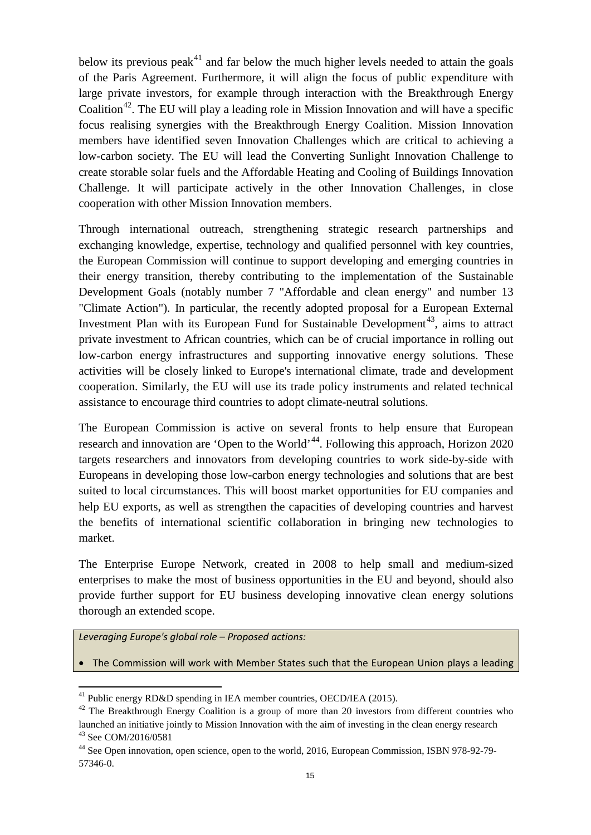below its previous peak<sup>[41](#page-14-0)</sup> and far below the much higher levels needed to attain the goals of the Paris Agreement. Furthermore, it will align the focus of public expenditure with large private investors, for example through interaction with the Breakthrough Energy Coalition<sup>42</sup>. The EU will play a leading role in Mission Innovation and will have a specific focus realising synergies with the Breakthrough Energy Coalition. Mission Innovation members have identified seven Innovation Challenges which are critical to achieving a low-carbon society. The EU will lead the Converting Sunlight Innovation Challenge to create storable solar fuels and the Affordable Heating and Cooling of Buildings Innovation Challenge. It will participate actively in the other Innovation Challenges, in close cooperation with other Mission Innovation members.

Through international outreach, strengthening strategic research partnerships and exchanging knowledge, expertise, technology and qualified personnel with key countries, the European Commission will continue to support developing and emerging countries in their energy transition, thereby contributing to the implementation of the Sustainable Development Goals (notably number 7 "Affordable and clean energy" and number 13 "Climate Action"). In particular, the recently adopted proposal for a European External Investment Plan with its European Fund for Sustainable Development<sup>[43](#page-14-2)</sup>, aims to attract private investment to African countries, which can be of crucial importance in rolling out low-carbon energy infrastructures and supporting innovative energy solutions. These activities will be closely linked to Europe's international climate, trade and development cooperation. Similarly, the EU will use its trade policy instruments and related technical assistance to encourage third countries to adopt climate-neutral solutions.

The European Commission is active on several fronts to help ensure that European research and innovation are 'Open to the World'<sup>44</sup>. Following this approach, Horizon 2020 targets researchers and innovators from developing countries to work side-by-side with Europeans in developing those low-carbon energy technologies and solutions that are best suited to local circumstances. This will boost market opportunities for EU companies and help EU exports, as well as strengthen the capacities of developing countries and harvest the benefits of international scientific collaboration in bringing new technologies to market.

The Enterprise Europe Network, created in 2008 to help small and medium-sized enterprises to make the most of business opportunities in the EU and beyond, should also provide further support for EU business developing innovative clean energy solutions thorough an extended scope.

*Leveraging Europe's global role – Proposed actions:*

l

• The Commission will work with Member States such that the European Union plays a leading

<sup>&</sup>lt;sup>41</sup> [Public energy RD&D spending in IEA member countries,](http://www.iea.org/newsroom/graphics/15-09-22energyrdd.html) OECD/IEA (2015).

<span id="page-14-1"></span><span id="page-14-0"></span> $42$  The Breakthrough Energy Coalition is a group of more than 20 investors from different countries who launched an initiative jointly to Mission Innovation with the aim of investing in the clean energy research <sup>43</sup> See COM/2016/0581

<span id="page-14-3"></span><span id="page-14-2"></span><sup>&</sup>lt;sup>44</sup> See Open innovation, open science, open to the world, 2016, European Commission, ISBN 978-92-79-57346-0.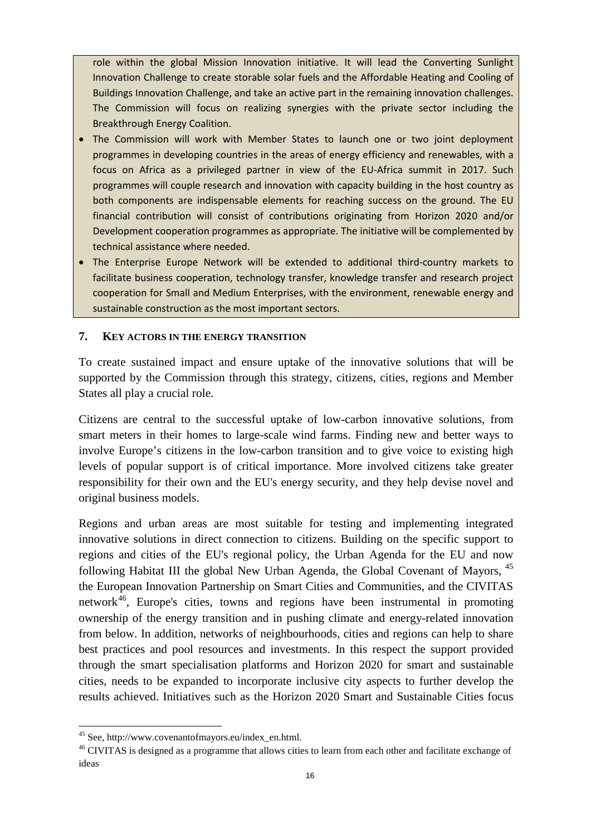role within the global Mission Innovation initiative. It will lead the Converting Sunlight Innovation Challenge to create storable solar fuels and the Affordable Heating and Cooling of Buildings Innovation Challenge, and take an active part in the remaining innovation challenges. The Commission will focus on realizing synergies with the private sector including the Breakthrough Energy Coalition.

- The Commission will work with Member States to launch one or two joint deployment programmes in developing countries in the areas of energy efficiency and renewables, with a focus on Africa as a privileged partner in view of the EU-Africa summit in 2017. Such programmes will couple research and innovation with capacity building in the host country as both components are indispensable elements for reaching success on the ground. The EU financial contribution will consist of contributions originating from Horizon 2020 and/or Development cooperation programmes as appropriate. The initiative will be complemented by technical assistance where needed.
- The Enterprise Europe Network will be extended to additional third-country markets to facilitate business cooperation, technology transfer, knowledge transfer and research project cooperation for Small and Medium Enterprises, with the environment, renewable energy and sustainable construction as the most important sectors.

#### **7. KEY ACTORS IN THE ENERGY TRANSITION**

To create sustained impact and ensure uptake of the innovative solutions that will be supported by the Commission through this strategy, citizens, cities, regions and Member States all play a crucial role.

Citizens are central to the successful uptake of low-carbon innovative solutions, from smart meters in their homes to large-scale wind farms. Finding new and better ways to involve Europe's citizens in the low-carbon transition and to give voice to existing high levels of popular support is of critical importance. More involved citizens take greater responsibility for their own and the EU's energy security, and they help devise novel and original business models.

Regions and urban areas are most suitable for testing and implementing integrated innovative solutions in direct connection to citizens. Building on the specific support to regions and cities of the EU's regional policy, the Urban Agenda for the EU and now following Habitat III the global New Urban Agenda, the Global Covenant of Mayors, <sup>[45](#page-15-0)</sup> the European Innovation Partnership on Smart Cities and Communities, and the CIVITAS network<sup>[46](#page-15-1)</sup>, Europe's cities, towns and regions have been instrumental in promoting ownership of the energy transition and in pushing climate and energy-related innovation from below. In addition, networks of neighbourhoods, cities and regions can help to share best practices and pool resources and investments. In this respect the support provided through the smart specialisation platforms and Horizon 2020 for smart and sustainable cities, needs to be expanded to incorporate inclusive city aspects to further develop the results achieved. Initiatives such as the Horizon 2020 Smart and Sustainable Cities focus

<span id="page-15-0"></span><sup>&</sup>lt;sup>45</sup> See, [http://www.covenantofmayors.eu/index\\_en.html.](http://www.covenantofmayors.eu/index_en.html)

<span id="page-15-1"></span><sup>&</sup>lt;sup>46</sup> CIVITAS is designed as a programme that allows cities to learn from each other and facilitate exchange of ideas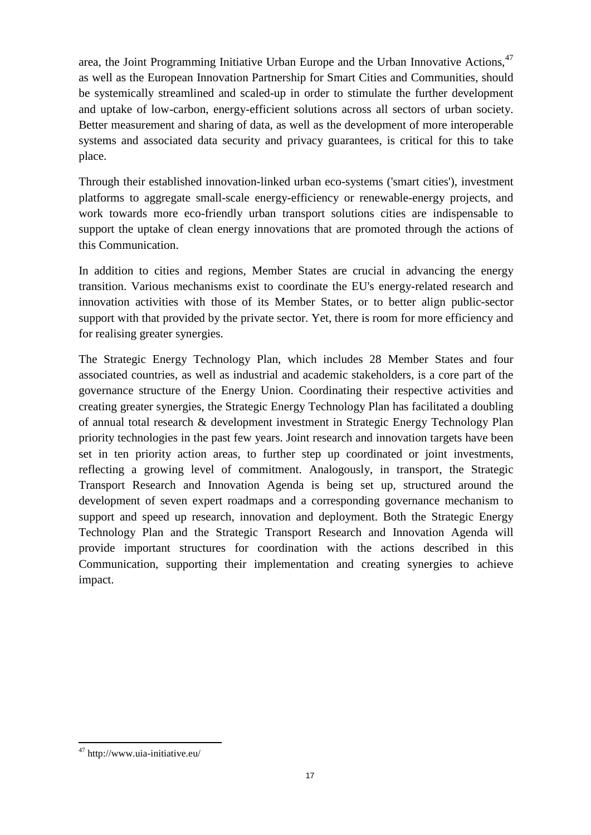area, the Joint Programming Initiative Urban Europe and the Urban Innovative Actions, <sup>[47](#page-16-0)</sup> as well as the European Innovation Partnership for Smart Cities and Communities, should be systemically streamlined and scaled-up in order to stimulate the further development and uptake of low-carbon, energy-efficient solutions across all sectors of urban society. Better measurement and sharing of data, as well as the development of more interoperable systems and associated data security and privacy guarantees, is critical for this to take place.

Through their established innovation-linked urban eco-systems ('smart cities'), investment platforms to aggregate small-scale energy-efficiency or renewable-energy projects, and work towards more eco-friendly urban transport solutions cities are indispensable to support the uptake of clean energy innovations that are promoted through the actions of this Communication.

In addition to cities and regions, Member States are crucial in advancing the energy transition. Various mechanisms exist to coordinate the EU's energy-related research and innovation activities with those of its Member States, or to better align public-sector support with that provided by the private sector. Yet, there is room for more efficiency and for realising greater synergies.

The Strategic Energy Technology Plan, which includes 28 Member States and four associated countries, as well as industrial and academic stakeholders, is a core part of the governance structure of the Energy Union. Coordinating their respective activities and creating greater synergies, the Strategic Energy Technology Plan has facilitated a doubling of annual total research & development investment in Strategic Energy Technology Plan priority technologies in the past few years. Joint research and innovation targets have been set in ten priority action areas, to further step up coordinated or joint investments, reflecting a growing level of commitment. Analogously, in transport, the Strategic Transport Research and Innovation Agenda is being set up, structured around the development of seven expert roadmaps and a corresponding governance mechanism to support and speed up research, innovation and deployment. Both the Strategic Energy Technology Plan and the Strategic Transport Research and Innovation Agenda will provide important structures for coordination with the actions described in this Communication, supporting their implementation and creating synergies to achieve impact.

<span id="page-16-0"></span> $\overline{\phantom{a}}$ <sup>47</sup> http://www.uia-initiative.eu/